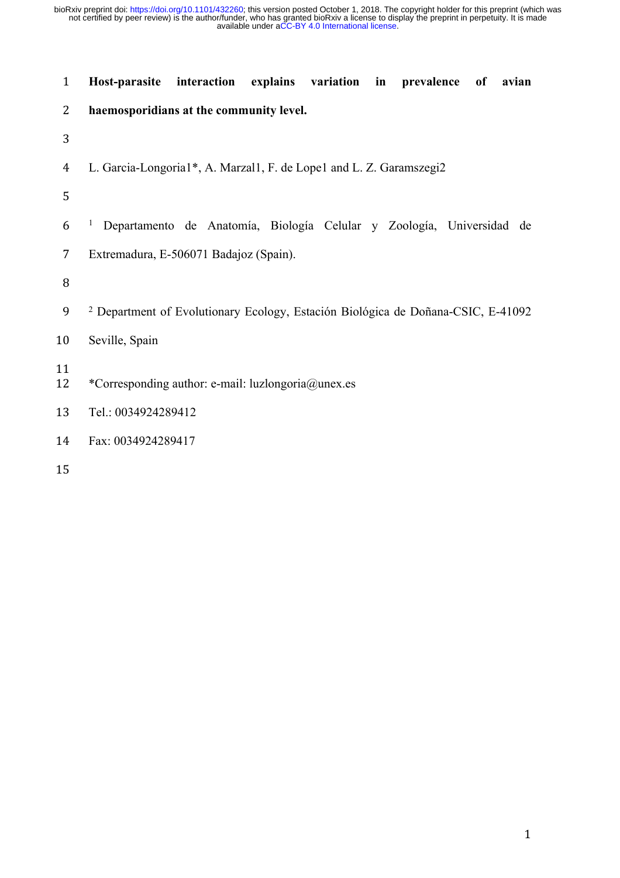| $\mathbf{1}$   | Host-parasite<br>interaction explains variation in prevalence<br>of<br>avian                |
|----------------|---------------------------------------------------------------------------------------------|
| $\overline{2}$ | haemosporidians at the community level.                                                     |
| 3              |                                                                                             |
| 4              | L. Garcia-Longoria1*, A. Marzal1, F. de Lope1 and L. Z. Garamszegi2                         |
| 5              |                                                                                             |
| 6              | Departamento de Anatomía, Biología Celular y Zoología, Universidad de                       |
| 7              | Extremadura, E-506071 Badajoz (Spain).                                                      |
| 8              |                                                                                             |
| 9              | <sup>2</sup> Department of Evolutionary Ecology, Estación Biológica de Doñana-CSIC, E-41092 |
| 10             | Seville, Spain                                                                              |
| 11<br>12       | *Corresponding author: e-mail: luzlongoria@unex.es                                          |
| 13             | Tel.: 0034924289412                                                                         |
| 14             | Fax: 0034924289417                                                                          |
| 15             |                                                                                             |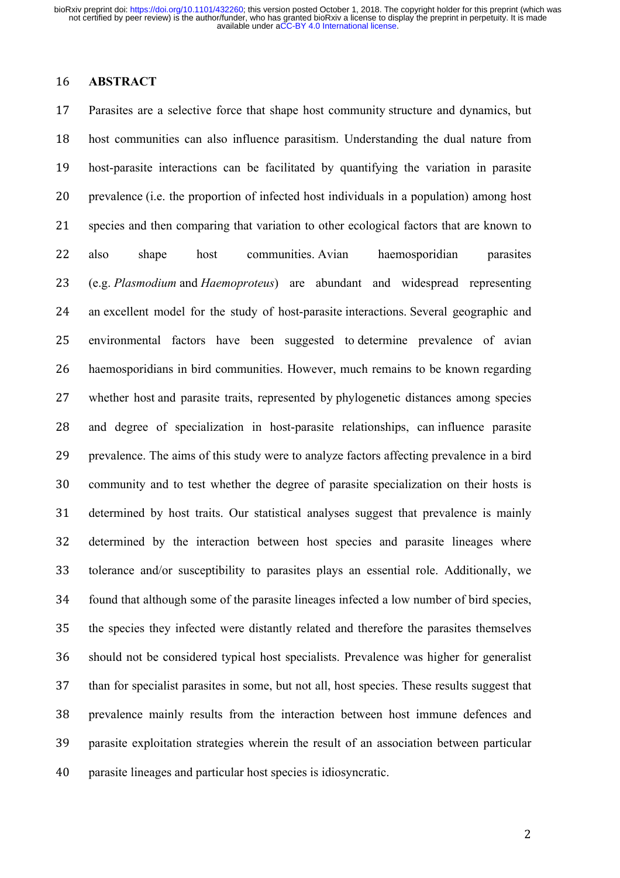### **ABSTRACT**

 Parasites are a selective force that shape host community structure and dynamics, but host communities can also influence parasitism. Understanding the dual nature from host-parasite interactions can be facilitated by quantifying the variation in parasite prevalence (i.e. the proportion of infected host individuals in a population) among host species and then comparing that variation to other ecological factors that are known to also shape host communities. Avian haemosporidian parasites (e.g. *Plasmodium* and *Haemoproteus*) are abundant and widespread representing an excellent model for the study of host-parasite interactions. Several geographic and environmental factors have been suggested to determine prevalence of avian haemosporidians in bird communities. However, much remains to be known regarding whether host and parasite traits, represented by phylogenetic distances among species and degree of specialization in host-parasite relationships, can influence parasite prevalence. The aims of this study were to analyze factors affecting prevalence in a bird community and to test whether the degree of parasite specialization on their hosts is determined by host traits. Our statistical analyses suggest that prevalence is mainly determined by the interaction between host species and parasite lineages where tolerance and/or susceptibility to parasites plays an essential role. Additionally, we found that although some of the parasite lineages infected a low number of bird species, the species they infected were distantly related and therefore the parasites themselves should not be considered typical host specialists. Prevalence was higher for generalist than for specialist parasites in some, but not all, host species. These results suggest that prevalence mainly results from the interaction between host immune defences and parasite exploitation strategies wherein the result of an association between particular parasite lineages and particular host species is idiosyncratic.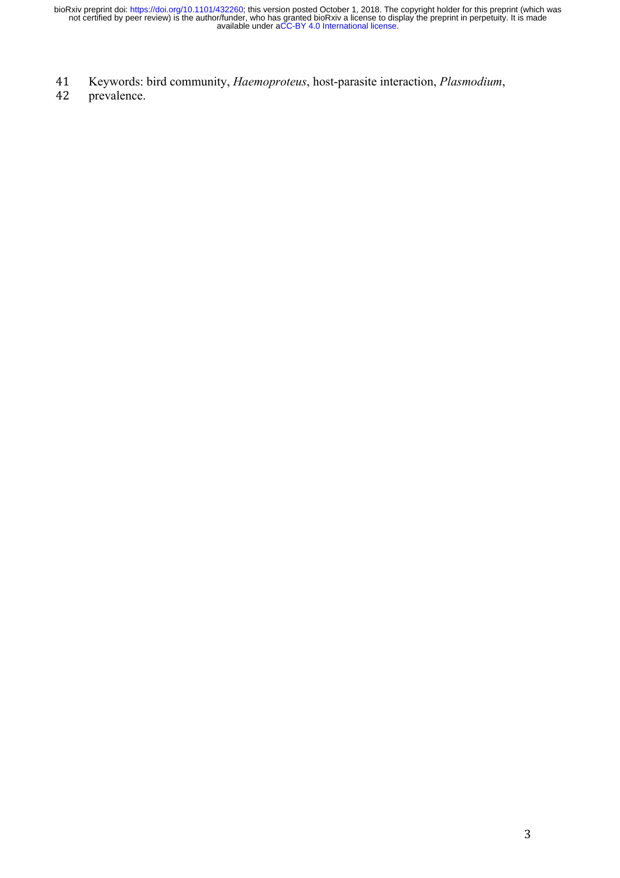- 41 Keywords: bird community, *Haemoproteus*, host-parasite interaction, *Plasmodium*,
- 42 prevalence.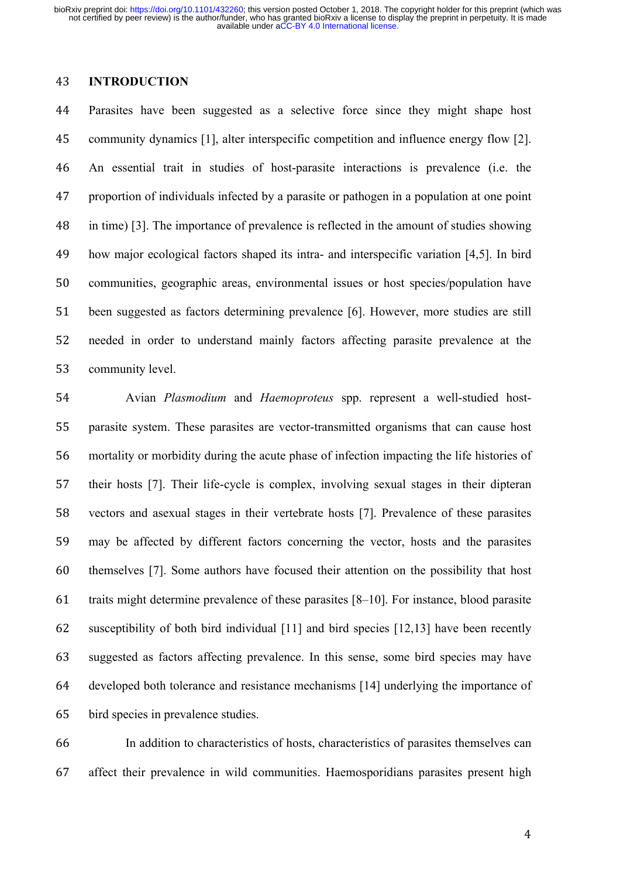## **INTRODUCTION**

 Parasites have been suggested as a selective force since they might shape host community dynamics [1], alter interspecific competition and influence energy flow [2]. An essential trait in studies of host-parasite interactions is prevalence (i.e. the proportion of individuals infected by a parasite or pathogen in a population at one point in time) [3]. The importance of prevalence is reflected in the amount of studies showing how major ecological factors shaped its intra- and interspecific variation [4,5]. In bird communities, geographic areas, environmental issues or host species/population have been suggested as factors determining prevalence [6]. However, more studies are still needed in order to understand mainly factors affecting parasite prevalence at the community level.

 Avian *Plasmodium* and *Haemoproteus* spp. represent a well-studied host- parasite system. These parasites are vector-transmitted organisms that can cause host mortality or morbidity during the acute phase of infection impacting the life histories of their hosts [7]. Their life-cycle is complex, involving sexual stages in their dipteran vectors and asexual stages in their vertebrate hosts [7]. Prevalence of these parasites may be affected by different factors concerning the vector, hosts and the parasites themselves [7]. Some authors have focused their attention on the possibility that host traits might determine prevalence of these parasites [8–10]. For instance, blood parasite susceptibility of both bird individual [11] and bird species [12,13] have been recently suggested as factors affecting prevalence. In this sense, some bird species may have developed both tolerance and resistance mechanisms [14] underlying the importance of bird species in prevalence studies.

 In addition to characteristics of hosts, characteristics of parasites themselves can affect their prevalence in wild communities. Haemosporidians parasites present high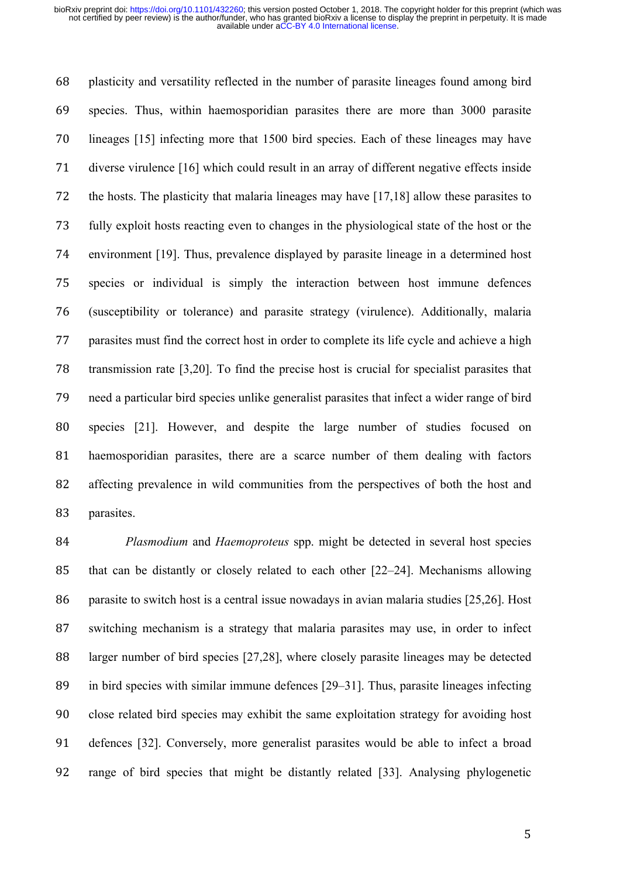plasticity and versatility reflected in the number of parasite lineages found among bird species. Thus, within haemosporidian parasites there are more than 3000 parasite lineages [15] infecting more that 1500 bird species. Each of these lineages may have diverse virulence [16] which could result in an array of different negative effects inside the hosts. The plasticity that malaria lineages may have [17,18] allow these parasites to fully exploit hosts reacting even to changes in the physiological state of the host or the environment [19]. Thus, prevalence displayed by parasite lineage in a determined host species or individual is simply the interaction between host immune defences (susceptibility or tolerance) and parasite strategy (virulence). Additionally, malaria parasites must find the correct host in order to complete its life cycle and achieve a high transmission rate [3,20]. To find the precise host is crucial for specialist parasites that need a particular bird species unlike generalist parasites that infect a wider range of bird species [21]. However, and despite the large number of studies focused on haemosporidian parasites, there are a scarce number of them dealing with factors affecting prevalence in wild communities from the perspectives of both the host and parasites.

 *Plasmodium* and *Haemoproteus* spp. might be detected in several host species that can be distantly or closely related to each other [22–24]. Mechanisms allowing parasite to switch host is a central issue nowadays in avian malaria studies [25,26]. Host switching mechanism is a strategy that malaria parasites may use, in order to infect larger number of bird species [27,28], where closely parasite lineages may be detected in bird species with similar immune defences [29–31]. Thus, parasite lineages infecting close related bird species may exhibit the same exploitation strategy for avoiding host defences [32]. Conversely, more generalist parasites would be able to infect a broad range of bird species that might be distantly related [33]. Analysing phylogenetic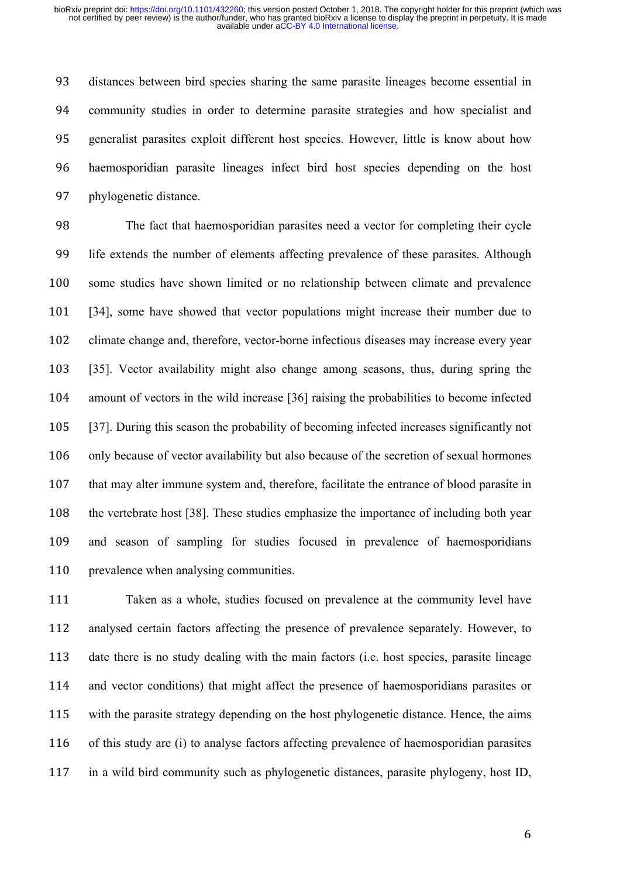distances between bird species sharing the same parasite lineages become essential in community studies in order to determine parasite strategies and how specialist and generalist parasites exploit different host species. However, little is know about how haemosporidian parasite lineages infect bird host species depending on the host phylogenetic distance.

 The fact that haemosporidian parasites need a vector for completing their cycle life extends the number of elements affecting prevalence of these parasites. Although some studies have shown limited or no relationship between climate and prevalence [34], some have showed that vector populations might increase their number due to climate change and, therefore, vector-borne infectious diseases may increase every year [35]. Vector availability might also change among seasons, thus, during spring the amount of vectors in the wild increase [36] raising the probabilities to become infected [37]. During this season the probability of becoming infected increases significantly not only because of vector availability but also because of the secretion of sexual hormones that may alter immune system and, therefore, facilitate the entrance of blood parasite in the vertebrate host [38]. These studies emphasize the importance of including both year and season of sampling for studies focused in prevalence of haemosporidians 110 prevalence when analysing communities.

 Taken as a whole, studies focused on prevalence at the community level have analysed certain factors affecting the presence of prevalence separately. However, to date there is no study dealing with the main factors (i.e. host species, parasite lineage and vector conditions) that might affect the presence of haemosporidians parasites or with the parasite strategy depending on the host phylogenetic distance. Hence, the aims of this study are (i) to analyse factors affecting prevalence of haemosporidian parasites in a wild bird community such as phylogenetic distances, parasite phylogeny, host ID,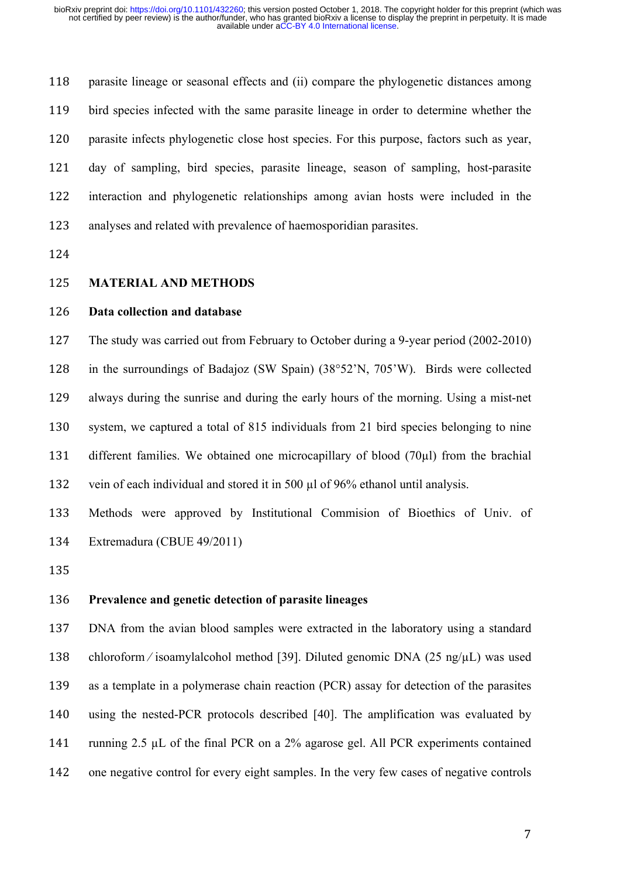parasite lineage or seasonal effects and (ii) compare the phylogenetic distances among bird species infected with the same parasite lineage in order to determine whether the parasite infects phylogenetic close host species. For this purpose, factors such as year, day of sampling, bird species, parasite lineage, season of sampling, host-parasite interaction and phylogenetic relationships among avian hosts were included in the analyses and related with prevalence of haemosporidian parasites.

#### **MATERIAL AND METHODS**

## **Data collection and database**

 The study was carried out from February to October during a 9-year period (2002-2010) in the surroundings of Badajoz (SW Spain) (38°52'N, 705'W). Birds were collected always during the sunrise and during the early hours of the morning. Using a mist-net system, we captured a total of 815 individuals from 21 bird species belonging to nine different families. We obtained one microcapillary of blood (70µl) from the brachial vein of each individual and stored it in 500 µl of 96% ethanol until analysis.

 Methods were approved by Institutional Commision of Bioethics of Univ. of Extremadura (CBUE 49/2011)

### **Prevalence and genetic detection of parasite lineages**

 DNA from the avian blood samples were extracted in the laboratory using a standard chloroform ⁄ isoamylalcohol method [39]. Diluted genomic DNA (25 ng/µL) was used as a template in a polymerase chain reaction (PCR) assay for detection of the parasites using the nested-PCR protocols described [40]. The amplification was evaluated by running 2.5 µL of the final PCR on a 2% agarose gel. All PCR experiments contained one negative control for every eight samples. In the very few cases of negative controls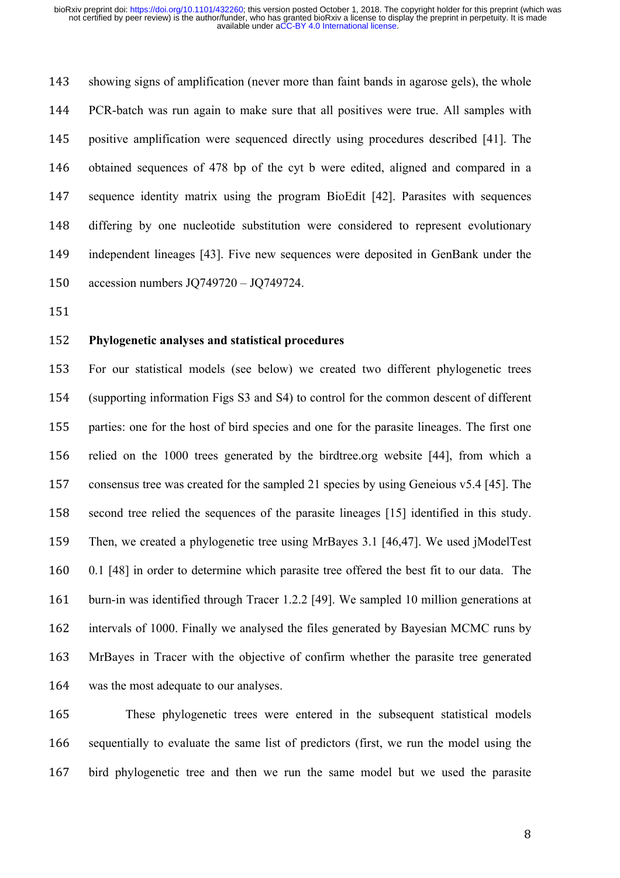showing signs of amplification (never more than faint bands in agarose gels), the whole PCR-batch was run again to make sure that all positives were true. All samples with positive amplification were sequenced directly using procedures described [41]. The obtained sequences of 478 bp of the cyt b were edited, aligned and compared in a sequence identity matrix using the program BioEdit [42]. Parasites with sequences differing by one nucleotide substitution were considered to represent evolutionary independent lineages [43]. Five new sequences were deposited in GenBank under the accession numbers JQ749720 – JQ749724.

### **Phylogenetic analyses and statistical procedures**

 For our statistical models (see below) we created two different phylogenetic trees (supporting information Figs S3 and S4) to control for the common descent of different parties: one for the host of bird species and one for the parasite lineages. The first one relied on the 1000 trees generated by the birdtree.org website [44], from which a consensus tree was created for the sampled 21 species by using Geneious v5.4 [45]. The second tree relied the sequences of the parasite lineages [15] identified in this study. Then, we created a phylogenetic tree using MrBayes 3.1 [46,47]. We used jModelTest 0.1 [48] in order to determine which parasite tree offered the best fit to our data. The burn-in was identified through Tracer 1.2.2 [49]. We sampled 10 million generations at intervals of 1000. Finally we analysed the files generated by Bayesian MCMC runs by MrBayes in Tracer with the objective of confirm whether the parasite tree generated was the most adequate to our analyses.

 These phylogenetic trees were entered in the subsequent statistical models sequentially to evaluate the same list of predictors (first, we run the model using the bird phylogenetic tree and then we run the same model but we used the parasite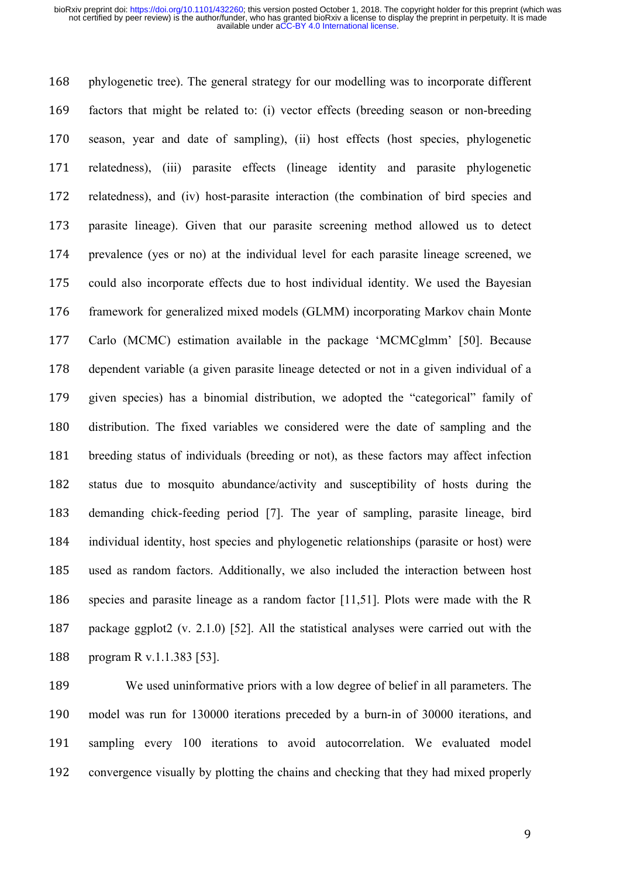phylogenetic tree). The general strategy for our modelling was to incorporate different factors that might be related to: (i) vector effects (breeding season or non-breeding season, year and date of sampling), (ii) host effects (host species, phylogenetic relatedness), (iii) parasite effects (lineage identity and parasite phylogenetic relatedness), and (iv) host-parasite interaction (the combination of bird species and parasite lineage). Given that our parasite screening method allowed us to detect prevalence (yes or no) at the individual level for each parasite lineage screened, we could also incorporate effects due to host individual identity. We used the Bayesian framework for generalized mixed models (GLMM) incorporating Markov chain Monte Carlo (MCMC) estimation available in the package 'MCMCglmm' [50]. Because dependent variable (a given parasite lineage detected or not in a given individual of a given species) has a binomial distribution, we adopted the "categorical" family of distribution. The fixed variables we considered were the date of sampling and the breeding status of individuals (breeding or not), as these factors may affect infection status due to mosquito abundance/activity and susceptibility of hosts during the demanding chick-feeding period [7]. The year of sampling, parasite lineage, bird individual identity, host species and phylogenetic relationships (parasite or host) were used as random factors. Additionally, we also included the interaction between host species and parasite lineage as a random factor [11,51]. Plots were made with the R package ggplot2 (v. 2.1.0) [52]. All the statistical analyses were carried out with the program R v.1.1.383 [53].

 We used uninformative priors with a low degree of belief in all parameters. The model was run for 130000 iterations preceded by a burn-in of 30000 iterations, and sampling every 100 iterations to avoid autocorrelation. We evaluated model convergence visually by plotting the chains and checking that they had mixed properly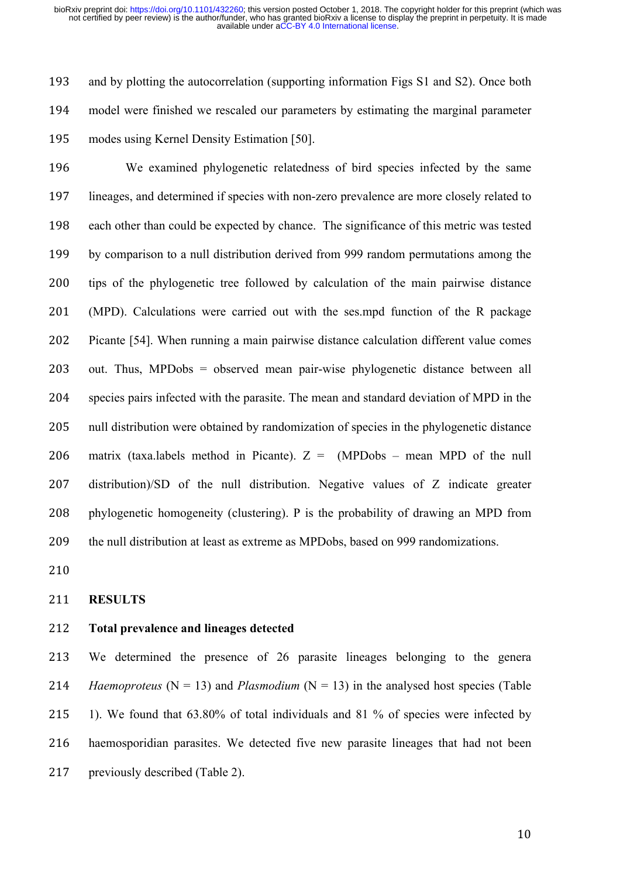and by plotting the autocorrelation (supporting information Figs S1 and S2). Once both model were finished we rescaled our parameters by estimating the marginal parameter modes using Kernel Density Estimation [50].

 We examined phylogenetic relatedness of bird species infected by the same lineages, and determined if species with non-zero prevalence are more closely related to each other than could be expected by chance. The significance of this metric was tested by comparison to a null distribution derived from 999 random permutations among the tips of the phylogenetic tree followed by calculation of the main pairwise distance (MPD). Calculations were carried out with the ses.mpd function of the R package Picante [54]. When running a main pairwise distance calculation different value comes out. Thus, MPDobs = observed mean pair-wise phylogenetic distance between all species pairs infected with the parasite. The mean and standard deviation of MPD in the null distribution were obtained by randomization of species in the phylogenetic distance 206 matrix (taxa.labels method in Picante).  $Z = (MPDobs - mean MPD)$  of the null distribution)/SD of the null distribution. Negative values of Z indicate greater phylogenetic homogeneity (clustering). P is the probability of drawing an MPD from the null distribution at least as extreme as MPDobs, based on 999 randomizations.

### **RESULTS**

### **Total prevalence and lineages detected**

 We determined the presence of 26 parasite lineages belonging to the genera *Haemoproteus* ( $N = 13$ ) and *Plasmodium* ( $N = 13$ ) in the analysed host species (Table 1). We found that 63.80% of total individuals and 81 % of species were infected by haemosporidian parasites. We detected five new parasite lineages that had not been 217 previously described (Table 2).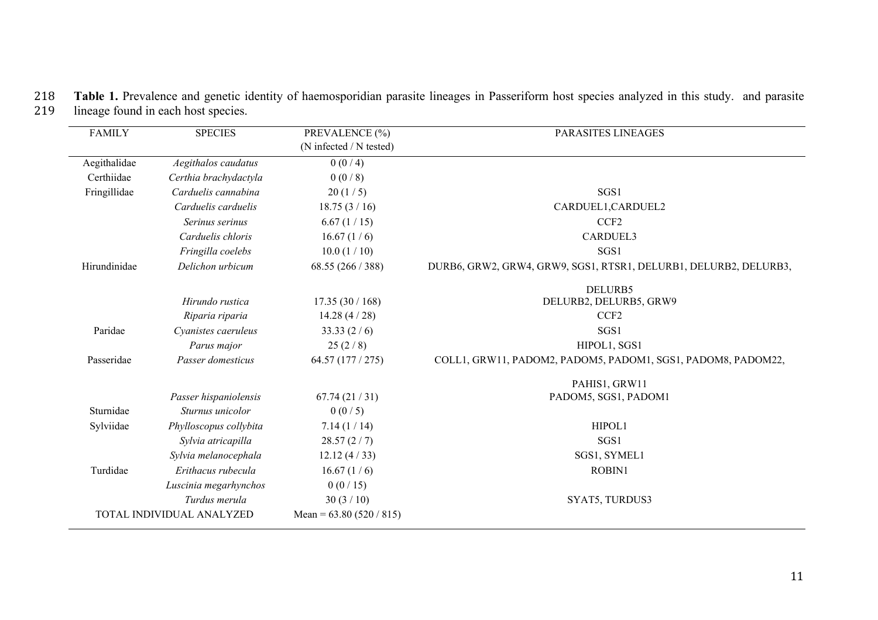| 218 Table 1. Prevalence and genetic identity of haemosporidian parasite lineages in Passeriform host species analyzed in this study. and parasite |  |
|---------------------------------------------------------------------------------------------------------------------------------------------------|--|
| 219 lineage found in each host species.                                                                                                           |  |

| <b>FAMILY</b> | <b>SPECIES</b>            | PREVALENCE (%)             | PARASITES LINEAGES                                               |
|---------------|---------------------------|----------------------------|------------------------------------------------------------------|
|               |                           | (N infected / N tested)    |                                                                  |
| Aegithalidae  | Aegithalos caudatus       | 0(0/4)                     |                                                                  |
| Certhiidae    | Certhia brachydactyla     | 0(0/8)                     |                                                                  |
| Fringillidae  | Carduelis cannabina       | 20(1/5)                    | SGS1                                                             |
|               | Carduelis carduelis       | 18.75(3/16)                | CARDUEL1, CARDUEL2                                               |
|               | Serinus serinus           | 6.67(1/15)                 | CCF <sub>2</sub>                                                 |
|               | Carduelis chloris         | 16.67(1/6)                 | <b>CARDUEL3</b>                                                  |
|               | Fringilla coelebs         | 10.0(1/10)                 | SGS1                                                             |
| Hirundinidae  | Delichon urbicum          | 68.55 (266 / 388)          | DURB6, GRW2, GRW4, GRW9, SGS1, RTSR1, DELURB1, DELURB2, DELURB3, |
|               |                           |                            | DELURB5                                                          |
|               | Hirundo rustica           | 17.35(30/168)              | DELURB2, DELURB5, GRW9                                           |
|               | Riparia riparia           | 14.28 $(4/28)$             | CCF <sub>2</sub>                                                 |
| Paridae       | Cyanistes caeruleus       | 33.33(2/6)                 | SGS1                                                             |
|               | Parus major               | 25(2/8)                    | HIPOL1, SGS1                                                     |
| Passeridae    | Passer domesticus         | 64.57 (177 / 275)          | COLL1, GRW11, PADOM2, PADOM5, PADOM1, SGS1, PADOM8, PADOM22,     |
|               |                           |                            | PAHIS1, GRW11                                                    |
|               | Passer hispaniolensis     | 67.74(21/31)               | PADOM5, SGS1, PADOM1                                             |
| Sturnidae     | Sturnus unicolor          | 0(0/5)                     |                                                                  |
| Sylviidae     | Phylloscopus collybita    | 7.14(1/14)                 | HIPOL1                                                           |
|               | Sylvia atricapilla        | 28.57(2/7)                 | SGS1                                                             |
|               | Sylvia melanocephala      | 12.12(4/33)                | SGS1, SYMEL1                                                     |
| Turdidae      | Erithacus rubecula        | 16.67(1/6)                 | ROBIN1                                                           |
|               | Luscinia megarhynchos     | 0(0/15)                    |                                                                  |
|               | Turdus merula             | 30(3/10)                   | SYAT5, TURDUS3                                                   |
|               | TOTAL INDIVIDUAL ANALYZED | Mean = $63.80 (520 / 815)$ |                                                                  |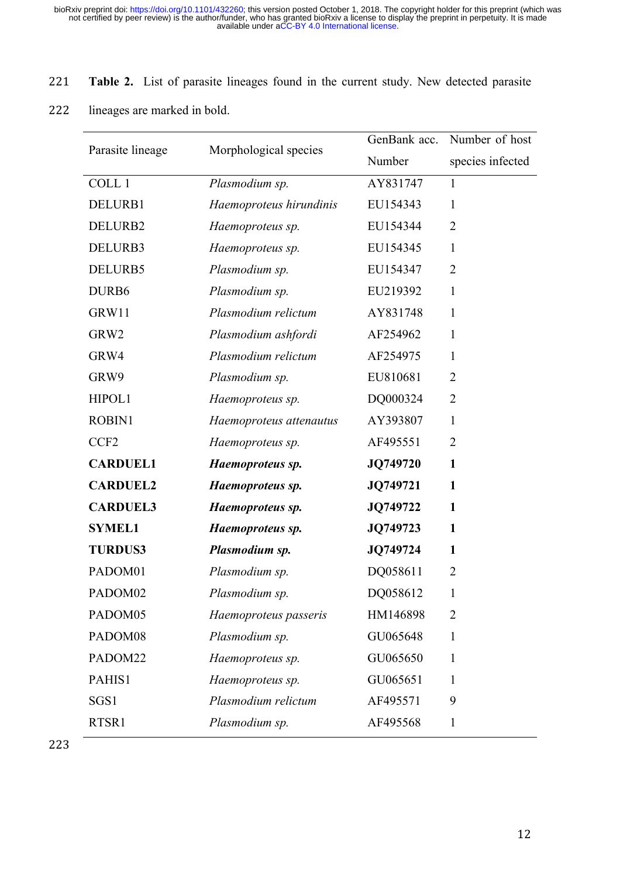# 221 **Table 2.** List of parasite lineages found in the current study. New detected parasite

222 lineages are marked in bold.

|                  |                         | GenBank acc. | Number of host   |
|------------------|-------------------------|--------------|------------------|
| Parasite lineage | Morphological species   | Number       | species infected |
| COLL 1           | Plasmodium sp.          | AY831747     | 1                |
| DELURB1          | Haemoproteus hirundinis | EU154343     | $\mathbf{1}$     |
| DELURB2          | Haemoproteus sp.        | EU154344     | $\overline{2}$   |
| DELURB3          | Haemoproteus sp.        | EU154345     | 1                |
| DELURB5          | Plasmodium sp.          | EU154347     | $\overline{2}$   |
| DURB6            | Plasmodium sp.          | EU219392     | $\mathbf{1}$     |
| GRW11            | Plasmodium relictum     | AY831748     | $\mathbf{1}$     |
| GRW2             | Plasmodium ashfordi     | AF254962     | 1                |
| GRW4             | Plasmodium relictum     | AF254975     | $\mathbf{1}$     |
| GRW9             | Plasmodium sp.          | EU810681     | $\overline{2}$   |
| HIPOL1           | Haemoproteus sp.        | DQ000324     | $\overline{2}$   |
| <b>ROBIN1</b>    | Haemoproteus attenautus | AY393807     | 1                |
| CCF <sub>2</sub> | Haemoproteus sp.        | AF495551     | $\overline{2}$   |
| <b>CARDUEL1</b>  | Haemoproteus sp.        | JQ749720     | $\mathbf{1}$     |
| <b>CARDUEL2</b>  | Haemoproteus sp.        | JQ749721     | 1                |
| <b>CARDUEL3</b>  | Haemoproteus sp.        | JQ749722     | $\mathbf{1}$     |
| <b>SYMEL1</b>    | Haemoproteus sp.        | JQ749723     | $\mathbf{1}$     |
| <b>TURDUS3</b>   | Plasmodium sp.          | JQ749724     | $\mathbf{1}$     |
| PADOM01          | Plasmodium sp.          | DQ058611     | $\overline{2}$   |
| PADOM02          | Plasmodium sp.          | DQ058612     | $\mathbf{1}$     |
| PADOM05          | Haemoproteus passeris   | HM146898     | $\overline{2}$   |
| PADOM08          | Plasmodium sp.          | GU065648     | 1                |
| PADOM22          | Haemoproteus sp.        | GU065650     | 1                |
| PAHIS1           | Haemoproteus sp.        | GU065651     | 1                |
| SGS1             | Plasmodium relictum     | AF495571     | 9                |
| RTSR1            | Plasmodium sp.          | AF495568     | 1                |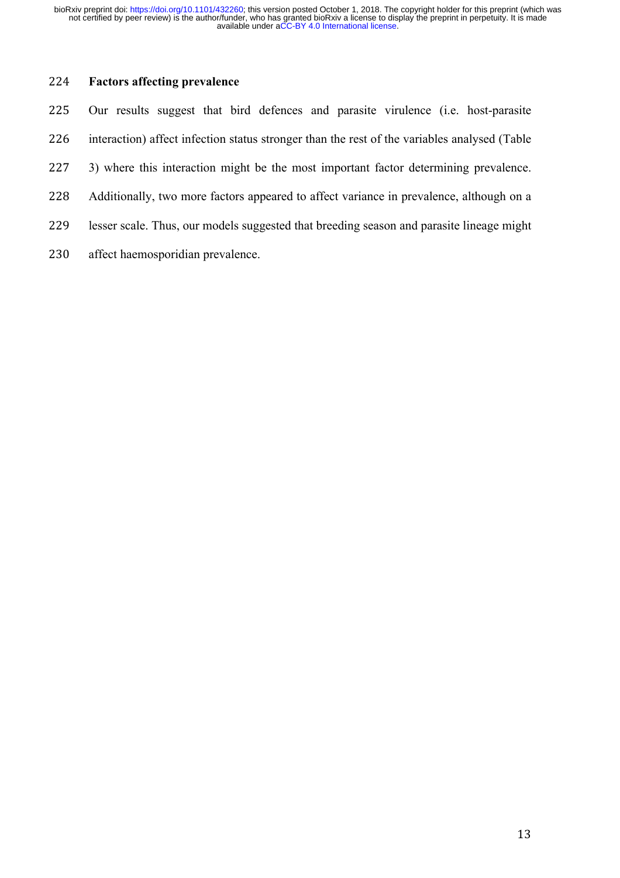# **Factors affecting prevalence**

| 225 | Our results suggest that bird defences and parasite virulence (i.e. host-parasite            |
|-----|----------------------------------------------------------------------------------------------|
| 226 | interaction) affect infection status stronger than the rest of the variables analysed (Table |
| 227 | 3) where this interaction might be the most important factor determining prevalence.         |
| 228 | Additionally, two more factors appeared to affect variance in prevalence, although on a      |
| 229 | lesser scale. Thus, our models suggested that breeding season and parasite lineage might     |
| 230 | affect haemosporidian prevalence.                                                            |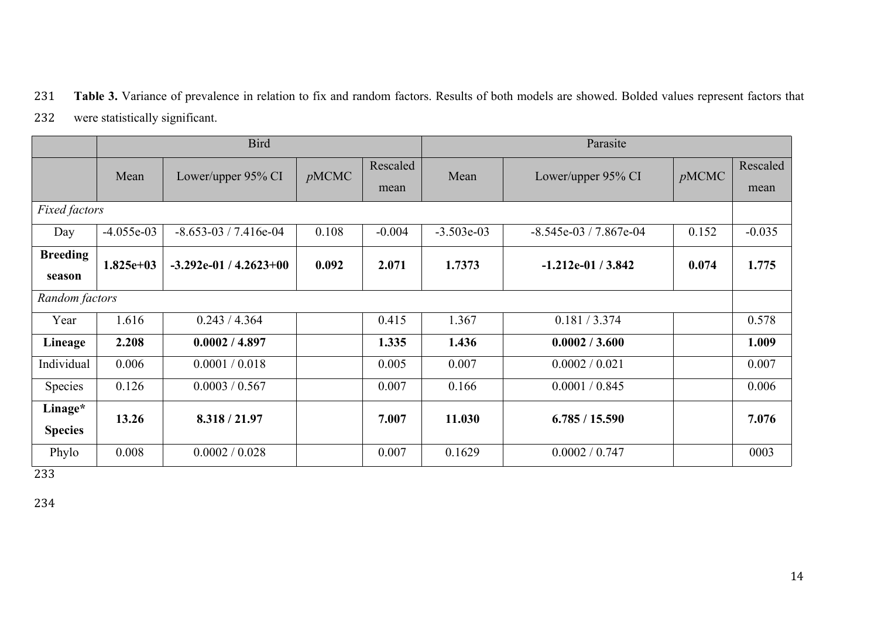## 231 **Table 3.** Variance of prevalence in relation to fix and random factors. Results of both models are showed. Bolded values represent factors that

232 were statistically significant.

|                           | <b>Bird</b>  |                             |       |          | Parasite     |                          |       |          |
|---------------------------|--------------|-----------------------------|-------|----------|--------------|--------------------------|-------|----------|
|                           | Mean         | Lower/upper 95% CI          | pMCMC | Rescaled | Mean         | Lower/upper 95% CI       | pMCMC | Rescaled |
|                           |              |                             |       | mean     |              |                          |       | mean     |
| <b>Fixed factors</b>      |              |                             |       |          |              |                          |       |          |
| Day                       | $-4.055e-03$ | $-8.653 - 03 / 7.416e - 04$ | 0.108 | $-0.004$ | $-3.503e-03$ | $-8.545e-03 / 7.867e-04$ | 0.152 | $-0.035$ |
| <b>Breeding</b><br>season | $1.825e+03$  | $-3.292e-01/4.2623+00$      | 0.092 | 2.071    | 1.7373       | $-1.212e-01/3.842$       | 0.074 | 1.775    |
| Random factors            |              |                             |       |          |              |                          |       |          |
| Year                      | 1.616        | 0.243 / 4.364               |       | 0.415    | 1.367        | 0.181 / 3.374            |       | 0.578    |
| Lineage                   | 2.208        | 0.0002 / 4.897              |       | 1.335    | 1.436        | 0.0002 / 3.600           |       | 1.009    |
| Individual                | 0.006        | 0.0001 / 0.018              |       | 0.005    | 0.007        | 0.0002 / 0.021           |       | 0.007    |
| Species                   | 0.126        | 0.0003 / 0.567              |       | 0.007    | 0.166        | 0.0001 / 0.845           |       | 0.006    |
| Linage*<br><b>Species</b> | 13.26        | 8.318 / 21.97               |       | 7.007    | 11.030       | 6.785 / 15.590           |       | 7.076    |
| Phylo                     | 0.008        | 0.0002 / 0.028              |       | 0.007    | 0.1629       | 0.0002 / 0.747           |       | 0003     |

233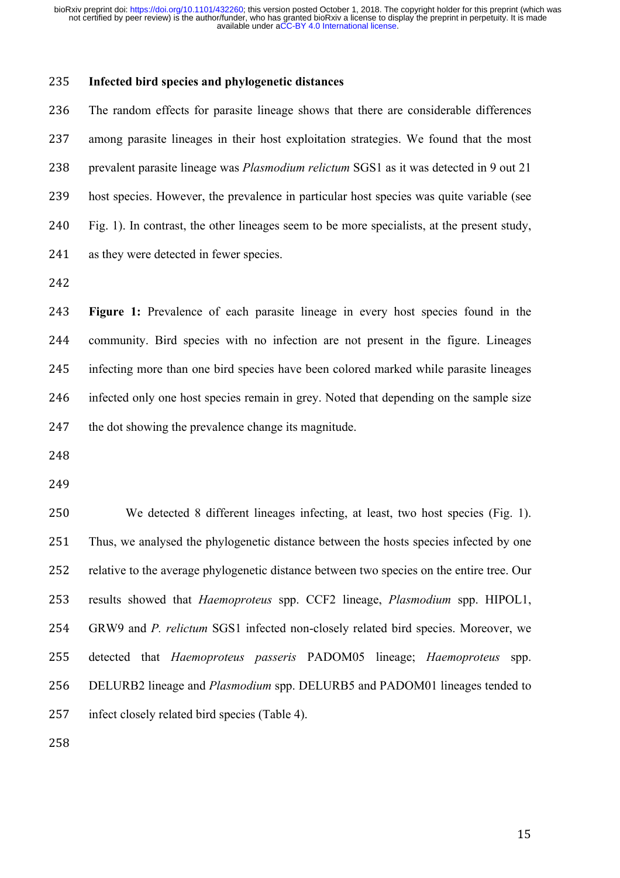### **Infected bird species and phylogenetic distances**

 The random effects for parasite lineage shows that there are considerable differences among parasite lineages in their host exploitation strategies. We found that the most prevalent parasite lineage was *Plasmodium relictum* SGS1 as it was detected in 9 out 21 host species. However, the prevalence in particular host species was quite variable (see Fig. 1). In contrast, the other lineages seem to be more specialists, at the present study, as they were detected in fewer species.

 **Figure 1:** Prevalence of each parasite lineage in every host species found in the community. Bird species with no infection are not present in the figure. Lineages infecting more than one bird species have been colored marked while parasite lineages infected only one host species remain in grey. Noted that depending on the sample size the dot showing the prevalence change its magnitude.

 We detected 8 different lineages infecting, at least, two host species (Fig. 1). Thus, we analysed the phylogenetic distance between the hosts species infected by one relative to the average phylogenetic distance between two species on the entire tree. Our results showed that *Haemoproteus* spp. CCF2 lineage, *Plasmodium* spp. HIPOL1, GRW9 and *P. relictum* SGS1 infected non-closely related bird species. Moreover, we detected that *Haemoproteus passeris* PADOM05 lineage; *Haemoproteus* spp. DELURB2 lineage and *Plasmodium* spp. DELURB5 and PADOM01 lineages tended to infect closely related bird species (Table 4).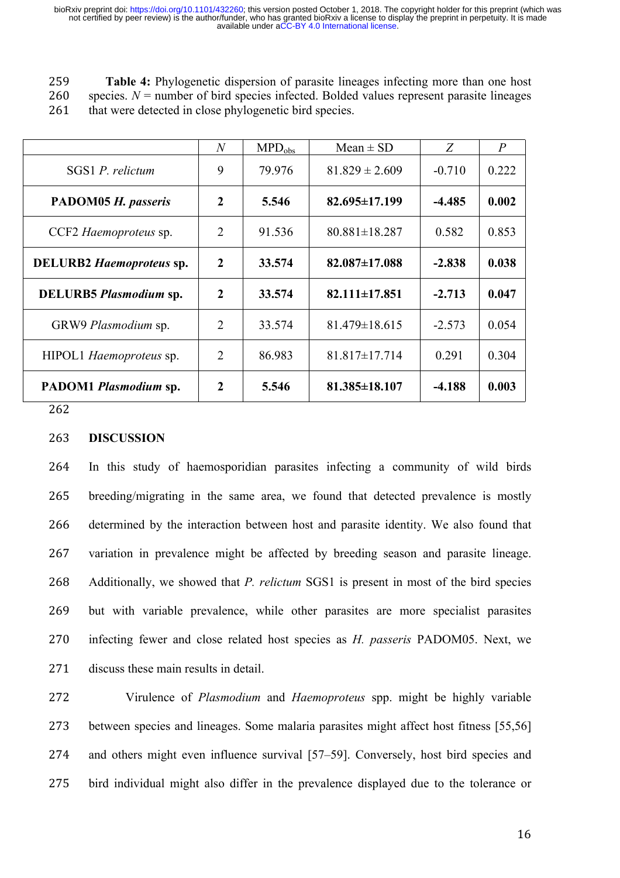259 **Table 4:** Phylogenetic dispersion of parasite lineages infecting more than one host 260 species. *N* = number of bird species infected. Bolded values represent parasite lineages

261 that were detected in close phylogenetic bird species.

|                                      | $\overline{N}$ | $MPD_{obs}$ | $Mean \pm SD$       | Z        | $\overline{P}$ |
|--------------------------------------|----------------|-------------|---------------------|----------|----------------|
| SGS1 P. relictum                     | 9              | 79.976      | $81.829 \pm 2.609$  | $-0.710$ | 0.222          |
| PADOM05 H. passeris                  | 2              | 5.546       | $82.695 \pm 17.199$ | -4.485   | 0.002          |
| CCF2 Haemoproteus sp.                | $\overline{2}$ | 91.536      | $80.881 \pm 18.287$ | 0.582    | 0.853          |
| <b>DELURB2</b> Haemoproteus sp.      | $\overline{2}$ | 33.574      | $82.087 \pm 17.088$ | $-2.838$ | 0.038          |
| <b>DELURB5</b> <i>Plasmodium</i> sp. | 2              | 33.574      | $82.111 \pm 17.851$ | $-2.713$ | 0.047          |
| GRW9 Plasmodium sp.                  | $\overline{2}$ | 33.574      | $81.479 \pm 18.615$ | $-2.573$ | 0.054          |
| HIPOL1 Haemoproteus sp.              | $\overline{2}$ | 86.983      | $81.817 \pm 17.714$ | 0.291    | 0.304          |
| PADOM1 Plasmodium sp.                | 2              | 5.546       | 81.385±18.107       | $-4.188$ | 0.003          |

262

#### 263 **DISCUSSION**

 In this study of haemosporidian parasites infecting a community of wild birds breeding/migrating in the same area, we found that detected prevalence is mostly determined by the interaction between host and parasite identity. We also found that variation in prevalence might be affected by breeding season and parasite lineage. Additionally, we showed that *P. relictum* SGS1 is present in most of the bird species but with variable prevalence, while other parasites are more specialist parasites infecting fewer and close related host species as *H. passeris* PADOM05. Next, we 271 discuss these main results in detail

 Virulence of *Plasmodium* and *Haemoproteus* spp. might be highly variable between species and lineages. Some malaria parasites might affect host fitness [55,56] and others might even influence survival [57–59]. Conversely, host bird species and bird individual might also differ in the prevalence displayed due to the tolerance or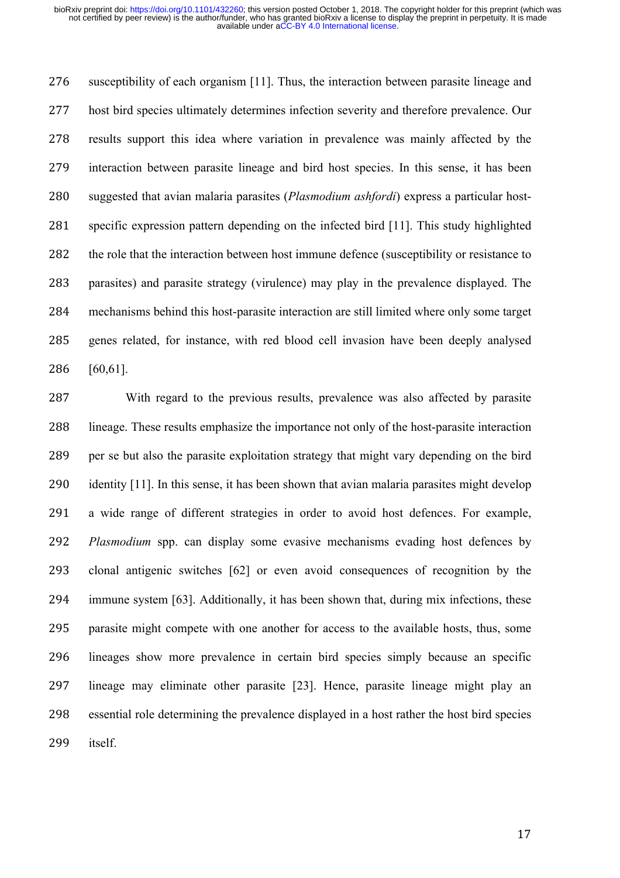susceptibility of each organism [11]. Thus, the interaction between parasite lineage and host bird species ultimately determines infection severity and therefore prevalence. Our results support this idea where variation in prevalence was mainly affected by the interaction between parasite lineage and bird host species. In this sense, it has been suggested that avian malaria parasites (*Plasmodium ashfordi*) express a particular host- specific expression pattern depending on the infected bird [11]. This study highlighted the role that the interaction between host immune defence (susceptibility or resistance to parasites) and parasite strategy (virulence) may play in the prevalence displayed. The mechanisms behind this host-parasite interaction are still limited where only some target genes related, for instance, with red blood cell invasion have been deeply analysed [60,61].

 With regard to the previous results, prevalence was also affected by parasite lineage. These results emphasize the importance not only of the host-parasite interaction per se but also the parasite exploitation strategy that might vary depending on the bird 290 identity [11]. In this sense, it has been shown that avian malaria parasites might develop a wide range of different strategies in order to avoid host defences. For example, *Plasmodium* spp. can display some evasive mechanisms evading host defences by clonal antigenic switches [62] or even avoid consequences of recognition by the immune system [63]. Additionally, it has been shown that, during mix infections, these parasite might compete with one another for access to the available hosts, thus, some lineages show more prevalence in certain bird species simply because an specific lineage may eliminate other parasite [23]. Hence, parasite lineage might play an essential role determining the prevalence displayed in a host rather the host bird species itself.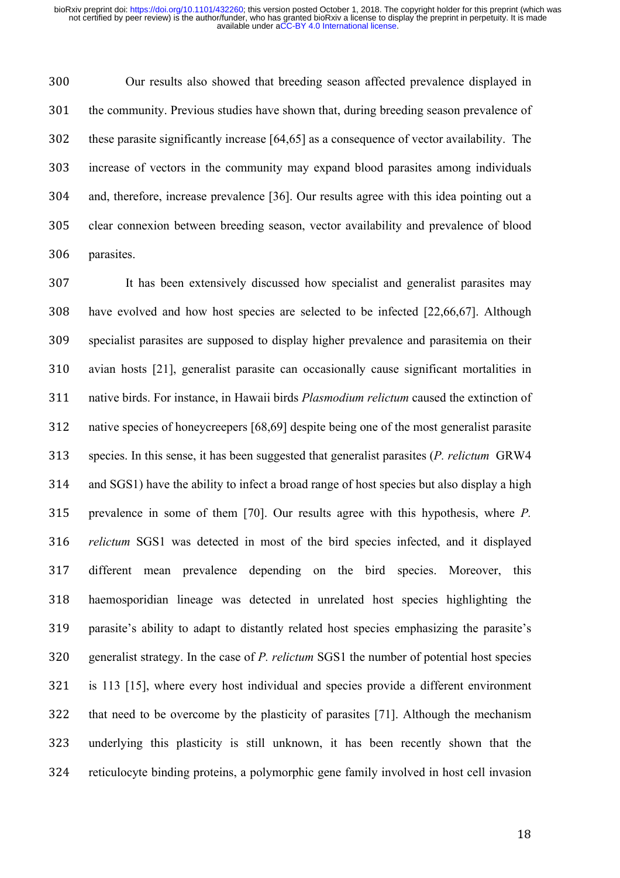Our results also showed that breeding season affected prevalence displayed in the community. Previous studies have shown that, during breeding season prevalence of these parasite significantly increase [64,65] as a consequence of vector availability. The increase of vectors in the community may expand blood parasites among individuals and, therefore, increase prevalence [36]. Our results agree with this idea pointing out a clear connexion between breeding season, vector availability and prevalence of blood parasites.

 It has been extensively discussed how specialist and generalist parasites may have evolved and how host species are selected to be infected [22,66,67]. Although specialist parasites are supposed to display higher prevalence and parasitemia on their avian hosts [21], generalist parasite can occasionally cause significant mortalities in native birds. For instance, in Hawaii birds *Plasmodium relictum* caused the extinction of native species of honeycreepers [68,69] despite being one of the most generalist parasite species. In this sense, it has been suggested that generalist parasites (*P. relictum* GRW4 and SGS1) have the ability to infect a broad range of host species but also display a high prevalence in some of them [70]. Our results agree with this hypothesis, where *P. relictum* SGS1 was detected in most of the bird species infected, and it displayed different mean prevalence depending on the bird species. Moreover, this haemosporidian lineage was detected in unrelated host species highlighting the parasite's ability to adapt to distantly related host species emphasizing the parasite's generalist strategy. In the case of *P. relictum* SGS1 the number of potential host species is 113 [15], where every host individual and species provide a different environment that need to be overcome by the plasticity of parasites [71]. Although the mechanism underlying this plasticity is still unknown, it has been recently shown that the reticulocyte binding proteins, a polymorphic gene family involved in host cell invasion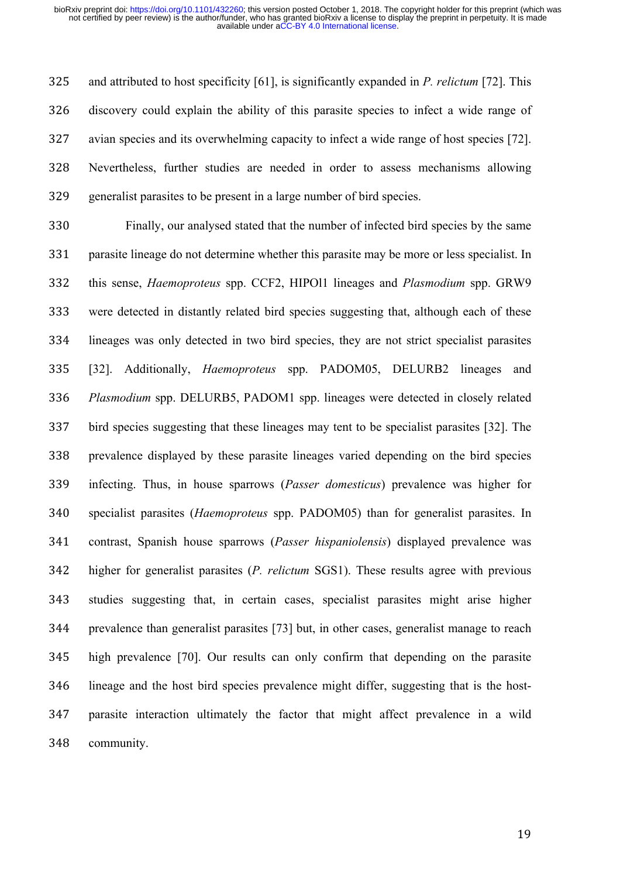and attributed to host specificity [61], is significantly expanded in *P. relictum* [72]. This discovery could explain the ability of this parasite species to infect a wide range of avian species and its overwhelming capacity to infect a wide range of host species [72]. Nevertheless, further studies are needed in order to assess mechanisms allowing generalist parasites to be present in a large number of bird species.

 Finally, our analysed stated that the number of infected bird species by the same parasite lineage do not determine whether this parasite may be more or less specialist. In this sense, *Haemoproteus* spp. CCF2, HIPOl1 lineages and *Plasmodium* spp. GRW9 were detected in distantly related bird species suggesting that, although each of these lineages was only detected in two bird species, they are not strict specialist parasites [32]. Additionally, *Haemoproteus* spp. PADOM05, DELURB2 lineages and *Plasmodium* spp. DELURB5, PADOM1 spp. lineages were detected in closely related bird species suggesting that these lineages may tent to be specialist parasites [32]. The prevalence displayed by these parasite lineages varied depending on the bird species infecting. Thus, in house sparrows (*Passer domesticus*) prevalence was higher for specialist parasites (*Haemoproteus* spp. PADOM05) than for generalist parasites. In contrast, Spanish house sparrows (*Passer hispaniolensis*) displayed prevalence was higher for generalist parasites (*P. relictum* SGS1). These results agree with previous studies suggesting that, in certain cases, specialist parasites might arise higher prevalence than generalist parasites [73] but, in other cases, generalist manage to reach high prevalence [70]. Our results can only confirm that depending on the parasite lineage and the host bird species prevalence might differ, suggesting that is the host- parasite interaction ultimately the factor that might affect prevalence in a wild community.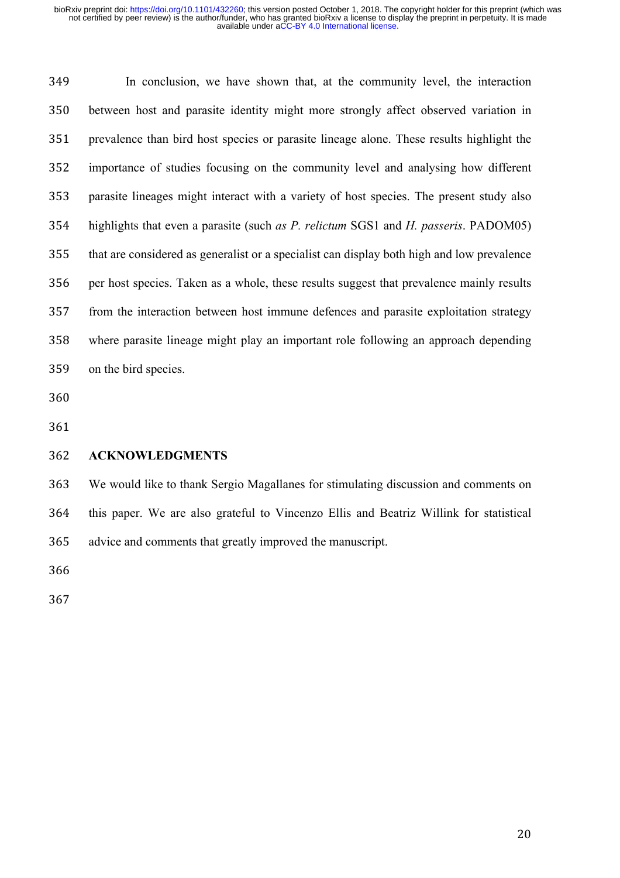In conclusion, we have shown that, at the community level, the interaction between host and parasite identity might more strongly affect observed variation in prevalence than bird host species or parasite lineage alone. These results highlight the importance of studies focusing on the community level and analysing how different parasite lineages might interact with a variety of host species. The present study also highlights that even a parasite (such *as P. relictum* SGS1 and *H. passeris*. PADOM05) that are considered as generalist or a specialist can display both high and low prevalence per host species. Taken as a whole, these results suggest that prevalence mainly results from the interaction between host immune defences and parasite exploitation strategy where parasite lineage might play an important role following an approach depending on the bird species.

#### **ACKNOWLEDGMENTS**

 We would like to thank Sergio Magallanes for stimulating discussion and comments on this paper. We are also grateful to Vincenzo Ellis and Beatriz Willink for statistical advice and comments that greatly improved the manuscript.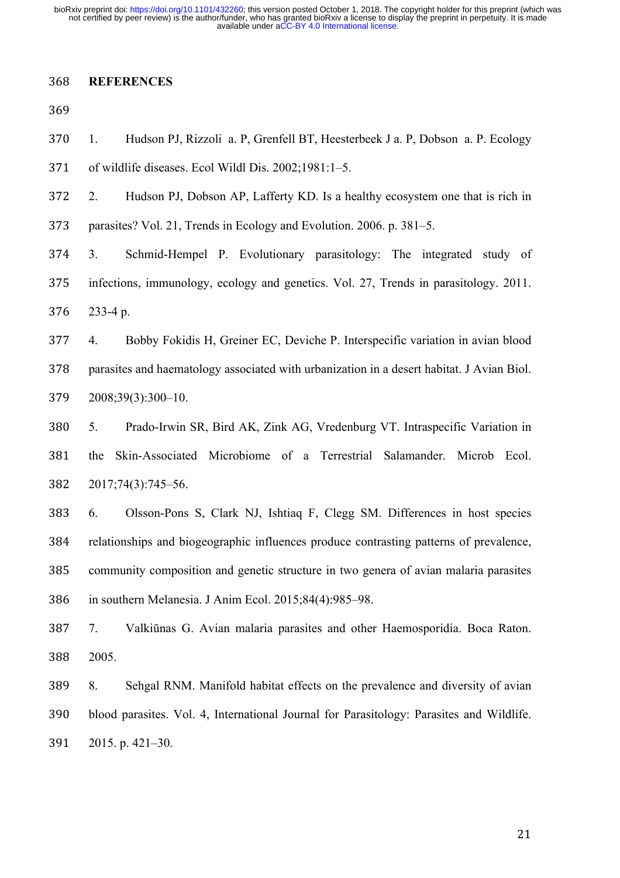### **REFERENCES**

 1. Hudson PJ, Rizzoli a. P, Grenfell BT, Heesterbeek J a. P, Dobson a. P. Ecology of wildlife diseases. Ecol Wildl Dis. 2002;1981:1–5.

2. Hudson PJ, Dobson AP, Lafferty KD. Is a healthy ecosystem one that is rich in

parasites? Vol. 21, Trends in Ecology and Evolution. 2006. p. 381–5.

 3. Schmid-Hempel P. Evolutionary parasitology: The integrated study of infections, immunology, ecology and genetics. Vol. 27, Trends in parasitology. 2011. 233-4 p.

 4. Bobby Fokidis H, Greiner EC, Deviche P. Interspecific variation in avian blood parasites and haematology associated with urbanization in a desert habitat. J Avian Biol. 2008;39(3):300–10.

 5. Prado-Irwin SR, Bird AK, Zink AG, Vredenburg VT. Intraspecific Variation in the Skin-Associated Microbiome of a Terrestrial Salamander. Microb Ecol. 2017;74(3):745–56.

 6. Olsson-Pons S, Clark NJ, Ishtiaq F, Clegg SM. Differences in host species relationships and biogeographic influences produce contrasting patterns of prevalence, community composition and genetic structure in two genera of avian malaria parasites in southern Melanesia. J Anim Ecol. 2015;84(4):985–98.

 7. Valkiūnas G. Avian malaria parasites and other Haemosporidia. Boca Raton. 2005.

 8. Sehgal RNM. Manifold habitat effects on the prevalence and diversity of avian blood parasites. Vol. 4, International Journal for Parasitology: Parasites and Wildlife. 2015. p. 421–30.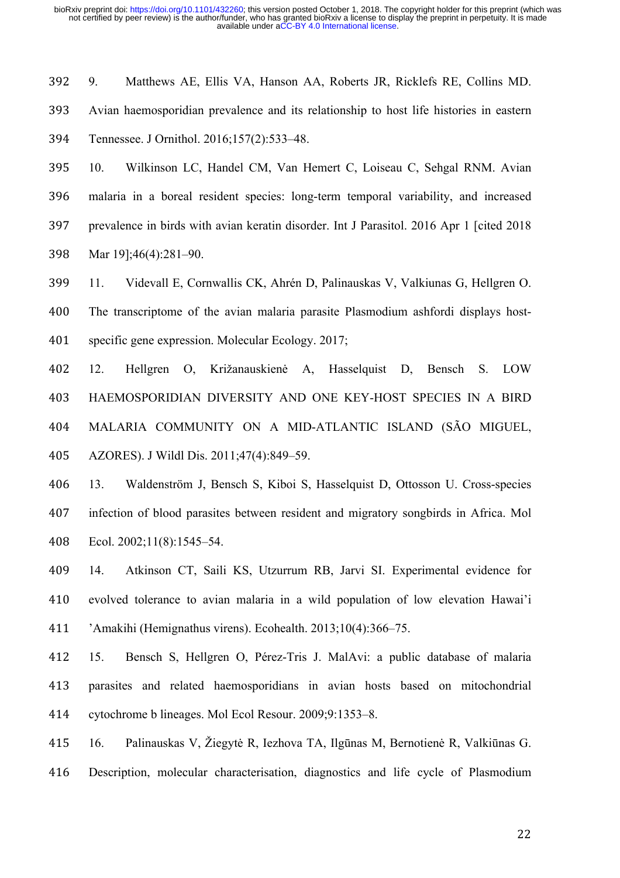9. Matthews AE, Ellis VA, Hanson AA, Roberts JR, Ricklefs RE, Collins MD. Avian haemosporidian prevalence and its relationship to host life histories in eastern Tennessee. J Ornithol. 2016;157(2):533–48.

 10. Wilkinson LC, Handel CM, Van Hemert C, Loiseau C, Sehgal RNM. Avian malaria in a boreal resident species: long-term temporal variability, and increased prevalence in birds with avian keratin disorder. Int J Parasitol. 2016 Apr 1 [cited 2018 Mar 19];46(4):281–90.

 11. Videvall E, Cornwallis CK, Ahrén D, Palinauskas V, Valkiunas G, Hellgren O. The transcriptome of the avian malaria parasite Plasmodium ashfordi displays host-specific gene expression. Molecular Ecology. 2017;

 12. Hellgren O, Križanauskienė A, Hasselquist D, Bensch S. LOW HAEMOSPORIDIAN DIVERSITY AND ONE KEY-HOST SPECIES IN A BIRD MALARIA COMMUNITY ON A MID-ATLANTIC ISLAND (SÃO MIGUEL, AZORES). J Wildl Dis. 2011;47(4):849–59.

 13. Waldenström J, Bensch S, Kiboi S, Hasselquist D, Ottosson U. Cross-species infection of blood parasites between resident and migratory songbirds in Africa. Mol Ecol. 2002;11(8):1545–54.

 14. Atkinson CT, Saili KS, Utzurrum RB, Jarvi SI. Experimental evidence for evolved tolerance to avian malaria in a wild population of low elevation Hawai'i 'Amakihi (Hemignathus virens). Ecohealth. 2013;10(4):366–75.

 15. Bensch S, Hellgren O, Pérez-Tris J. MalAvi: a public database of malaria parasites and related haemosporidians in avian hosts based on mitochondrial cytochrome b lineages. Mol Ecol Resour. 2009;9:1353–8.

 16. Palinauskas V, Žiegytė R, Iezhova TA, Ilgūnas M, Bernotienė R, Valkiūnas G. Description, molecular characterisation, diagnostics and life cycle of Plasmodium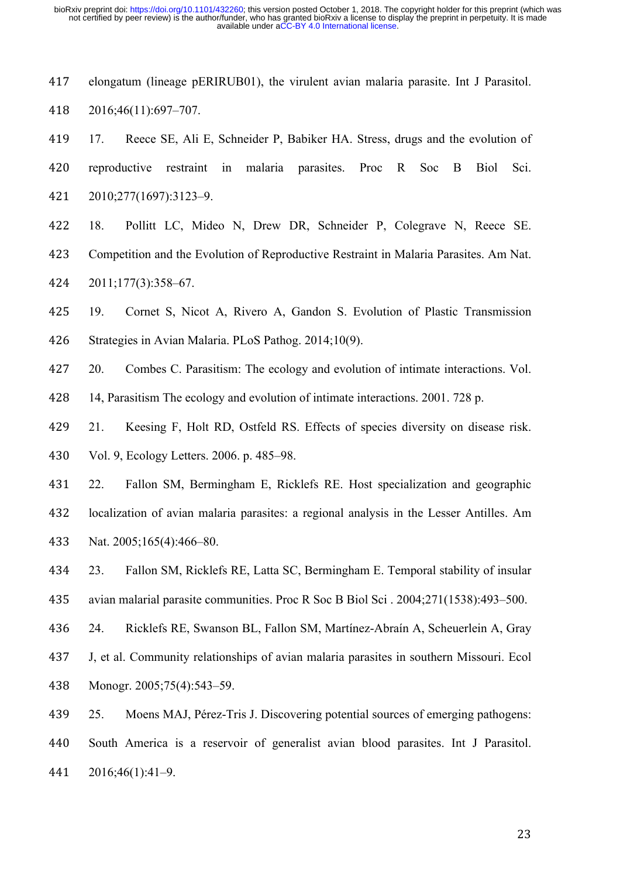- elongatum (lineage pERIRUB01), the virulent avian malaria parasite. Int J Parasitol. 2016;46(11):697–707.
- 17. Reece SE, Ali E, Schneider P, Babiker HA. Stress, drugs and the evolution of reproductive restraint in malaria parasites. Proc R Soc B Biol Sci. 2010;277(1697):3123–9.
- 18. Pollitt LC, Mideo N, Drew DR, Schneider P, Colegrave N, Reece SE. Competition and the Evolution of Reproductive Restraint in Malaria Parasites. Am Nat. 2011;177(3):358–67.
- 19. Cornet S, Nicot A, Rivero A, Gandon S. Evolution of Plastic Transmission Strategies in Avian Malaria. PLoS Pathog. 2014;10(9).
- 20. Combes C. Parasitism: The ecology and evolution of intimate interactions. Vol.
- 14, Parasitism The ecology and evolution of intimate interactions. 2001. 728 p.
- 21. Keesing F, Holt RD, Ostfeld RS. Effects of species diversity on disease risk. Vol. 9, Ecology Letters. 2006. p. 485–98.
- 22. Fallon SM, Bermingham E, Ricklefs RE. Host specialization and geographic localization of avian malaria parasites: a regional analysis in the Lesser Antilles. Am Nat. 2005;165(4):466–80.
- 23. Fallon SM, Ricklefs RE, Latta SC, Bermingham E. Temporal stability of insular avian malarial parasite communities. Proc R Soc B Biol Sci . 2004;271(1538):493–500.
- 24. Ricklefs RE, Swanson BL, Fallon SM, Martínez-Abraín A, Scheuerlein A, Gray J, et al. Community relationships of avian malaria parasites in southern Missouri. Ecol Monogr. 2005;75(4):543–59.
- 25. Moens MAJ, Pérez-Tris J. Discovering potential sources of emerging pathogens: South America is a reservoir of generalist avian blood parasites. Int J Parasitol. 2016;46(1):41–9.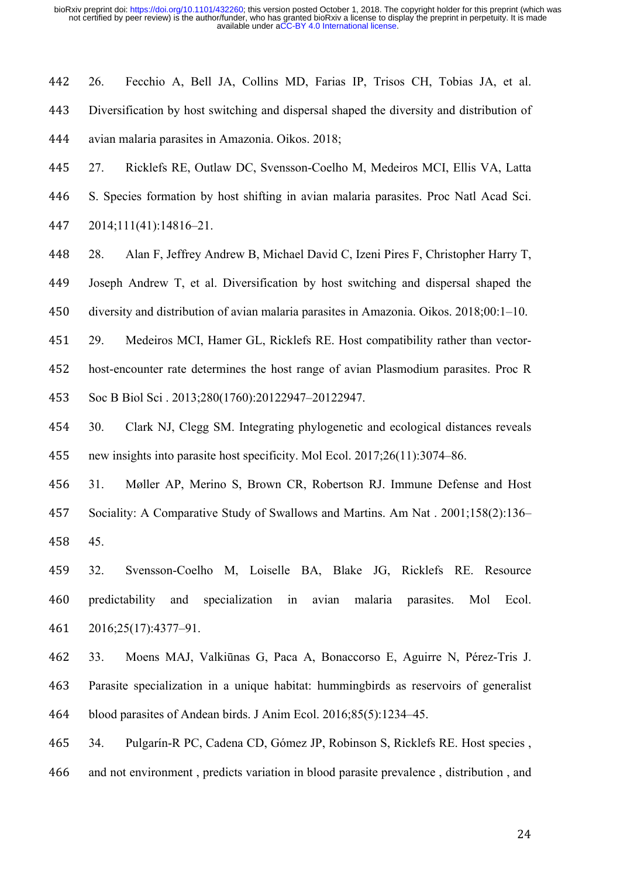26. Fecchio A, Bell JA, Collins MD, Farias IP, Trisos CH, Tobias JA, et al. Diversification by host switching and dispersal shaped the diversity and distribution of avian malaria parasites in Amazonia. Oikos. 2018;

 27. Ricklefs RE, Outlaw DC, Svensson-Coelho M, Medeiros MCI, Ellis VA, Latta S. Species formation by host shifting in avian malaria parasites. Proc Natl Acad Sci. 2014;111(41):14816–21.

28. Alan F, Jeffrey Andrew B, Michael David C, Izeni Pires F, Christopher Harry T,

Joseph Andrew T, et al. Diversification by host switching and dispersal shaped the

diversity and distribution of avian malaria parasites in Amazonia. Oikos. 2018;00:1–10.

 29. Medeiros MCI, Hamer GL, Ricklefs RE. Host compatibility rather than vector- host-encounter rate determines the host range of avian Plasmodium parasites. Proc R Soc B Biol Sci . 2013;280(1760):20122947–20122947.

 30. Clark NJ, Clegg SM. Integrating phylogenetic and ecological distances reveals new insights into parasite host specificity. Mol Ecol. 2017;26(11):3074–86.

 31. Møller AP, Merino S, Brown CR, Robertson RJ. Immune Defense and Host Sociality: A Comparative Study of Swallows and Martins. Am Nat . 2001;158(2):136– 45.

 32. Svensson-Coelho M, Loiselle BA, Blake JG, Ricklefs RE. Resource predictability and specialization in avian malaria parasites. Mol Ecol. 2016;25(17):4377–91.

 33. Moens MAJ, Valkiūnas G, Paca A, Bonaccorso E, Aguirre N, Pérez-Tris J. Parasite specialization in a unique habitat: hummingbirds as reservoirs of generalist blood parasites of Andean birds. J Anim Ecol. 2016;85(5):1234–45.

 34. Pulgarín-R PC, Cadena CD, Gómez JP, Robinson S, Ricklefs RE. Host species , and not environment , predicts variation in blood parasite prevalence , distribution , and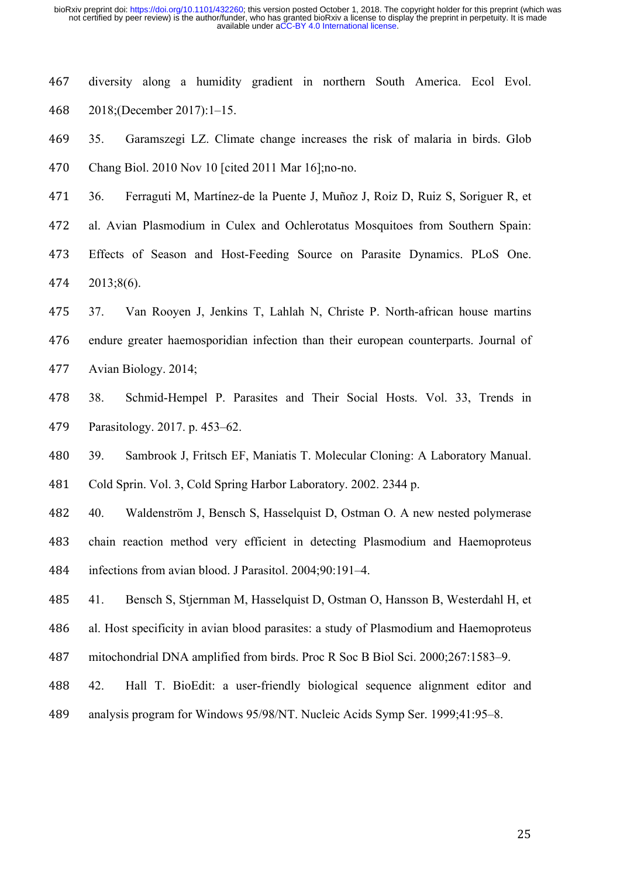diversity along a humidity gradient in northern South America. Ecol Evol. 2018;(December 2017):1–15.

 35. Garamszegi LZ. Climate change increases the risk of malaria in birds. Glob Chang Biol. 2010 Nov 10 [cited 2011 Mar 16];no-no.

- 36. Ferraguti M, Martínez-de la Puente J, Muñoz J, Roiz D, Ruiz S, Soriguer R, et
- al. Avian Plasmodium in Culex and Ochlerotatus Mosquitoes from Southern Spain:
- Effects of Season and Host-Feeding Source on Parasite Dynamics. PLoS One. 2013;8(6).
- 37. Van Rooyen J, Jenkins T, Lahlah N, Christe P. North-african house martins endure greater haemosporidian infection than their european counterparts. Journal of Avian Biology. 2014;
- 38. Schmid-Hempel P. Parasites and Their Social Hosts. Vol. 33, Trends in Parasitology. 2017. p. 453–62.
- 39. Sambrook J, Fritsch EF, Maniatis T. Molecular Cloning: A Laboratory Manual.

Cold Sprin. Vol. 3, Cold Spring Harbor Laboratory. 2002. 2344 p.

 40. Waldenström J, Bensch S, Hasselquist D, Ostman O. A new nested polymerase chain reaction method very efficient in detecting Plasmodium and Haemoproteus infections from avian blood. J Parasitol. 2004;90:191–4.

41. Bensch S, Stjernman M, Hasselquist D, Ostman O, Hansson B, Westerdahl H, et

al. Host specificity in avian blood parasites: a study of Plasmodium and Haemoproteus

- mitochondrial DNA amplified from birds. Proc R Soc B Biol Sci. 2000;267:1583–9.
- 42. Hall T. BioEdit: a user-friendly biological sequence alignment editor and analysis program for Windows 95/98/NT. Nucleic Acids Symp Ser. 1999;41:95–8.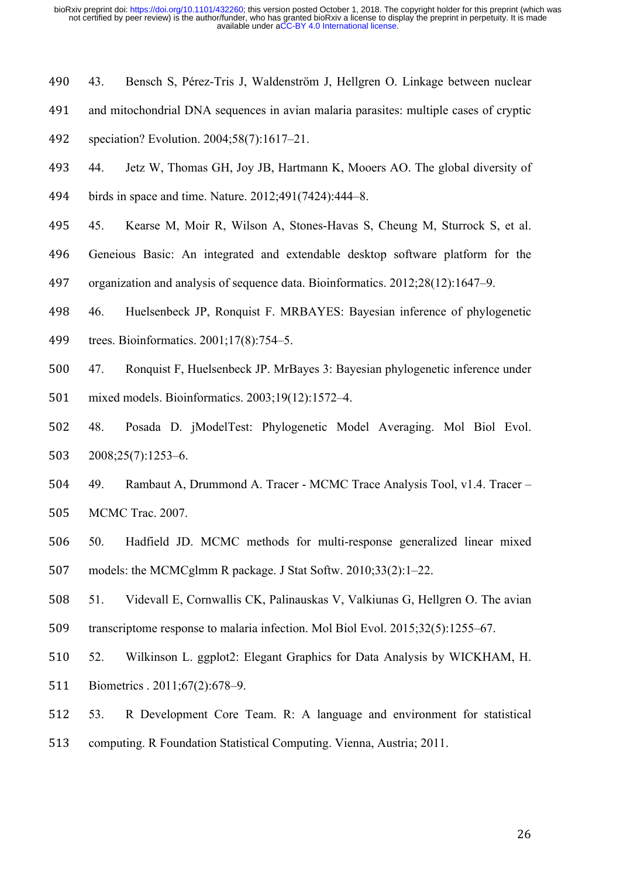- 43. Bensch S, Pérez-Tris J, Waldenström J, Hellgren O. Linkage between nuclear
- and mitochondrial DNA sequences in avian malaria parasites: multiple cases of cryptic
- speciation? Evolution. 2004;58(7):1617–21.
- 44. Jetz W, Thomas GH, Joy JB, Hartmann K, Mooers AO. The global diversity of birds in space and time. Nature. 2012;491(7424):444–8.
- 45. Kearse M, Moir R, Wilson A, Stones-Havas S, Cheung M, Sturrock S, et al.
- Geneious Basic: An integrated and extendable desktop software platform for the
- organization and analysis of sequence data. Bioinformatics. 2012;28(12):1647–9.
- 46. Huelsenbeck JP, Ronquist F. MRBAYES: Bayesian inference of phylogenetic
- trees. Bioinformatics. 2001;17(8):754–5.
- 47. Ronquist F, Huelsenbeck JP. MrBayes 3: Bayesian phylogenetic inference under mixed models. Bioinformatics. 2003;19(12):1572–4.
- 48. Posada D. jModelTest: Phylogenetic Model Averaging. Mol Biol Evol. 2008;25(7):1253–6.
- 49. Rambaut A, Drummond A. Tracer MCMC Trace Analysis Tool, v1.4. Tracer MCMC Trac. 2007.
- 50. Hadfield JD. MCMC methods for multi-response generalized linear mixed models: the MCMCglmm R package. J Stat Softw. 2010;33(2):1–22.
- 51. Videvall E, Cornwallis CK, Palinauskas V, Valkiunas G, Hellgren O. The avian transcriptome response to malaria infection. Mol Biol Evol. 2015;32(5):1255–67.
- 52. Wilkinson L. ggplot2: Elegant Graphics for Data Analysis by WICKHAM, H. Biometrics . 2011;67(2):678–9.
- 53. R Development Core Team. R: A language and environment for statistical computing. R Foundation Statistical Computing. Vienna, Austria; 2011.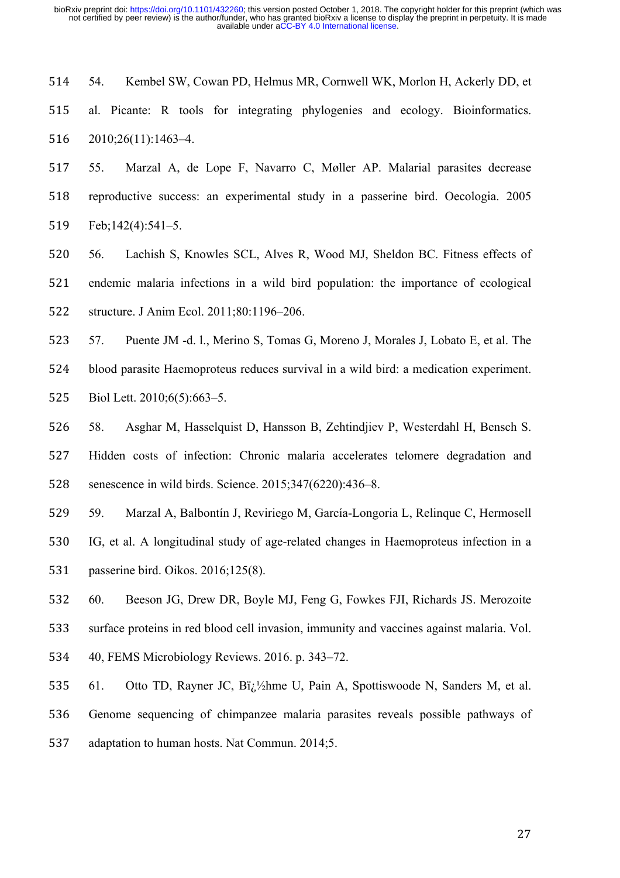54. Kembel SW, Cowan PD, Helmus MR, Cornwell WK, Morlon H, Ackerly DD, et al. Picante: R tools for integrating phylogenies and ecology. Bioinformatics. 2010;26(11):1463–4.

 55. Marzal A, de Lope F, Navarro C, Møller AP. Malarial parasites decrease reproductive success: an experimental study in a passerine bird. Oecologia. 2005 Feb;142(4):541–5.

 56. Lachish S, Knowles SCL, Alves R, Wood MJ, Sheldon BC. Fitness effects of endemic malaria infections in a wild bird population: the importance of ecological structure. J Anim Ecol. 2011;80:1196–206.

 57. Puente JM -d. l., Merino S, Tomas G, Moreno J, Morales J, Lobato E, et al. The blood parasite Haemoproteus reduces survival in a wild bird: a medication experiment.

Biol Lett. 2010;6(5):663–5.

 58. Asghar M, Hasselquist D, Hansson B, Zehtindjiev P, Westerdahl H, Bensch S. Hidden costs of infection: Chronic malaria accelerates telomere degradation and senescence in wild birds. Science. 2015;347(6220):436–8.

 59. Marzal A, Balbontín J, Reviriego M, García-Longoria L, Relinque C, Hermosell IG, et al. A longitudinal study of age-related changes in Haemoproteus infection in a passerine bird. Oikos. 2016;125(8).

60. Beeson JG, Drew DR, Boyle MJ, Feng G, Fowkes FJI, Richards JS. Merozoite

surface proteins in red blood cell invasion, immunity and vaccines against malaria. Vol.

40, FEMS Microbiology Reviews. 2016. p. 343–72.

535 61. Otto TD, Rayner JC, Bi<sub>l.</sub> $\frac{1}{2}$ hme U, Pain A, Spottiswoode N, Sanders M, et al.

Genome sequencing of chimpanzee malaria parasites reveals possible pathways of

adaptation to human hosts. Nat Commun. 2014;5.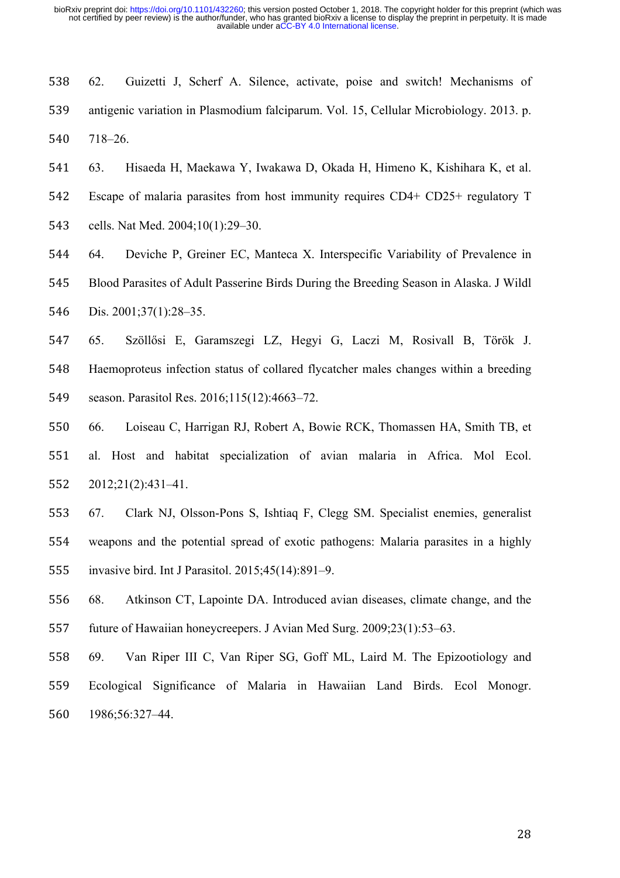- 62. Guizetti J, Scherf A. Silence, activate, poise and switch! Mechanisms of antigenic variation in Plasmodium falciparum. Vol. 15, Cellular Microbiology. 2013. p. 718–26.
- 63. Hisaeda H, Maekawa Y, Iwakawa D, Okada H, Himeno K, Kishihara K, et al. Escape of malaria parasites from host immunity requires CD4+ CD25+ regulatory T cells. Nat Med. 2004;10(1):29–30.
- 64. Deviche P, Greiner EC, Manteca X. Interspecific Variability of Prevalence in Blood Parasites of Adult Passerine Birds During the Breeding Season in Alaska. J Wildl Dis. 2001;37(1):28–35.
- 65. Szöllősi E, Garamszegi LZ, Hegyi G, Laczi M, Rosivall B, Török J. Haemoproteus infection status of collared flycatcher males changes within a breeding season. Parasitol Res. 2016;115(12):4663–72.
- 66. Loiseau C, Harrigan RJ, Robert A, Bowie RCK, Thomassen HA, Smith TB, et al. Host and habitat specialization of avian malaria in Africa. Mol Ecol. 2012;21(2):431–41.
- 67. Clark NJ, Olsson-Pons S, Ishtiaq F, Clegg SM. Specialist enemies, generalist weapons and the potential spread of exotic pathogens: Malaria parasites in a highly invasive bird. Int J Parasitol. 2015;45(14):891–9.
- 68. Atkinson CT, Lapointe DA. Introduced avian diseases, climate change, and the future of Hawaiian honeycreepers. J Avian Med Surg. 2009;23(1):53–63.
- 69. Van Riper III C, Van Riper SG, Goff ML, Laird M. The Epizootiology and Ecological Significance of Malaria in Hawaiian Land Birds. Ecol Monogr. 1986;56:327–44.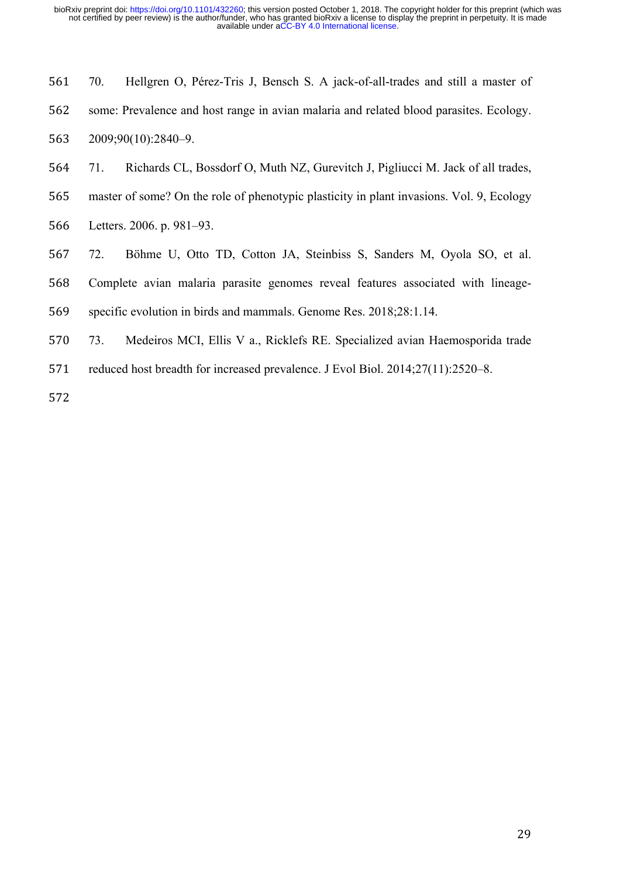| 561 | 70. | Hellgren O, Pérez-Tris J, Bensch S. A jack-of-all-trades and still a master of         |
|-----|-----|----------------------------------------------------------------------------------------|
| 562 |     | some: Prevalence and host range in avian malaria and related blood parasites. Ecology. |
|     |     | 563 2009;90(10):2840-9.                                                                |

- 71. Richards CL, Bossdorf O, Muth NZ, Gurevitch J, Pigliucci M. Jack of all trades,
- master of some? On the role of phenotypic plasticity in plant invasions. Vol. 9, Ecology
- Letters. 2006. p. 981–93.
- 72. Böhme U, Otto TD, Cotton JA, Steinbiss S, Sanders M, Oyola SO, et al.
- Complete avian malaria parasite genomes reveal features associated with lineage-
- specific evolution in birds and mammals. Genome Res. 2018;28:1.14.
- 73. Medeiros MCI, Ellis V a., Ricklefs RE. Specialized avian Haemosporida trade
- reduced host breadth for increased prevalence. J Evol Biol. 2014;27(11):2520–8.